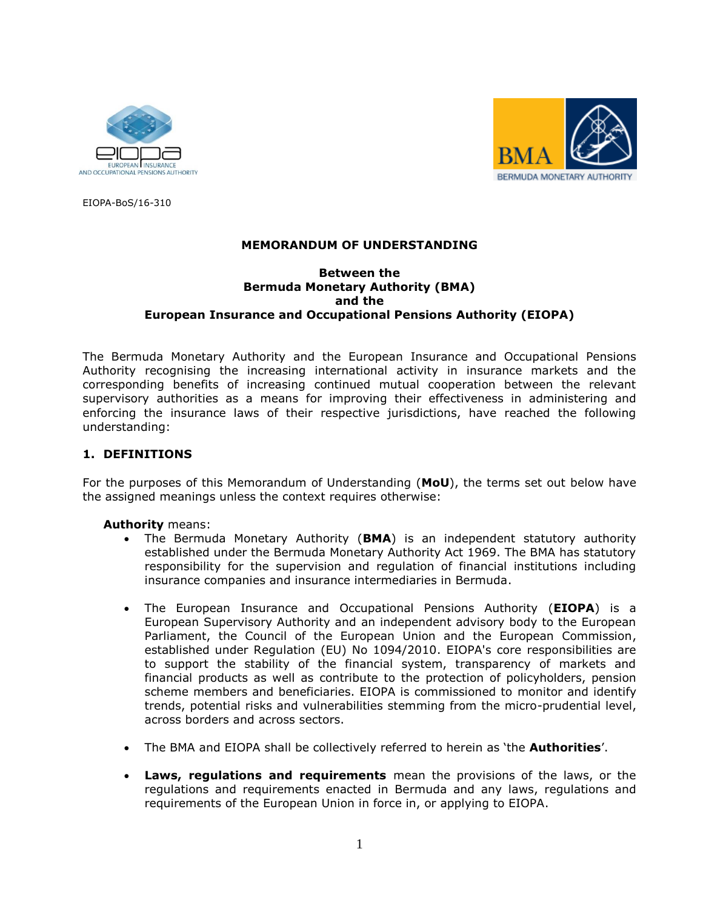



EIOPA-BoS/16-310

## **MEMORANDUM OF UNDERSTANDING**

## **Between the Bermuda Monetary Authority (BMA) and the European Insurance and Occupational Pensions Authority (EIOPA)**

The Bermuda Monetary Authority and the European Insurance and Occupational Pensions Authority recognising the increasing international activity in insurance markets and the corresponding benefits of increasing continued mutual cooperation between the relevant supervisory authorities as a means for improving their effectiveness in administering and enforcing the insurance laws of their respective jurisdictions, have reached the following understanding:

## **1. DEFINITIONS**

For the purposes of this Memorandum of Understanding (**MoU**), the terms set out below have the assigned meanings unless the context requires otherwise:

**Authority** means:

- The Bermuda Monetary Authority (**BMA**) is an independent statutory authority established under the Bermuda Monetary Authority Act 1969. The BMA has statutory responsibility for the supervision and regulation of financial institutions including insurance companies and insurance intermediaries in Bermuda.
- The European Insurance and Occupational Pensions Authority (**EIOPA**) is a European Supervisory Authority and an independent advisory body to the European Parliament, the Council of the European Union and the European Commission, established under Regulation (EU) No 1094/2010. EIOPA's core responsibilities are to support the stability of the financial system, transparency of markets and financial products as well as contribute to the protection of policyholders, pension scheme members and beneficiaries. EIOPA is commissioned to monitor and identify trends, potential risks and vulnerabilities stemming from the micro-prudential level, across borders and across sectors.
- The BMA and EIOPA shall be collectively referred to herein as 'the **Authorities**'.
- **Laws, regulations and requirements** mean the provisions of the laws, or the regulations and requirements enacted in Bermuda and any laws, regulations and requirements of the European Union in force in, or applying to EIOPA.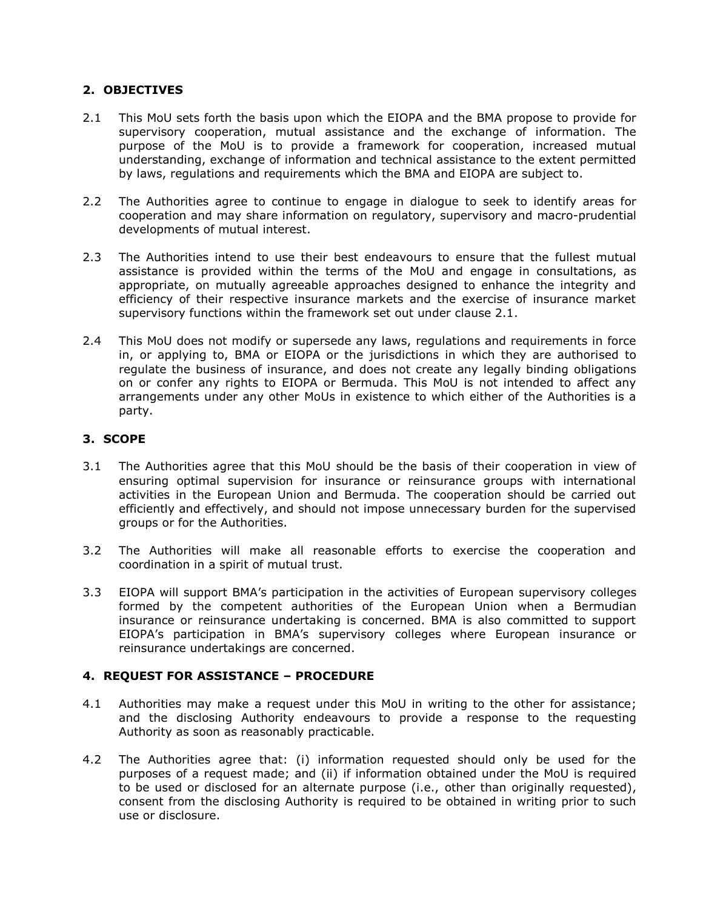# **2. OBJECTIVES**

- 2.1 This MoU sets forth the basis upon which the EIOPA and the BMA propose to provide for supervisory cooperation, mutual assistance and the exchange of information. The purpose of the MoU is to provide a framework for cooperation, increased mutual understanding, exchange of information and technical assistance to the extent permitted by laws, regulations and requirements which the BMA and EIOPA are subject to.
- 2.2 The Authorities agree to continue to engage in dialogue to seek to identify areas for cooperation and may share information on regulatory, supervisory and macro-prudential developments of mutual interest.
- 2.3 The Authorities intend to use their best endeavours to ensure that the fullest mutual assistance is provided within the terms of the MoU and engage in consultations, as appropriate, on mutually agreeable approaches designed to enhance the integrity and efficiency of their respective insurance markets and the exercise of insurance market supervisory functions within the framework set out under clause 2.1.
- 2.4 This MoU does not modify or supersede any laws, regulations and requirements in force in, or applying to, BMA or EIOPA or the jurisdictions in which they are authorised to regulate the business of insurance, and does not create any legally binding obligations on or confer any rights to EIOPA or Bermuda. This MoU is not intended to affect any arrangements under any other MoUs in existence to which either of the Authorities is a party.

# **3. SCOPE**

- 3.1 The Authorities agree that this MoU should be the basis of their cooperation in view of ensuring optimal supervision for insurance or reinsurance groups with international activities in the European Union and Bermuda. The cooperation should be carried out efficiently and effectively, and should not impose unnecessary burden for the supervised groups or for the Authorities.
- 3.2 The Authorities will make all reasonable efforts to exercise the cooperation and coordination in a spirit of mutual trust.
- 3.3 EIOPA will support BMA's participation in the activities of European supervisory colleges formed by the competent authorities of the European Union when a Bermudian insurance or reinsurance undertaking is concerned. BMA is also committed to support EIOPA's participation in BMA's supervisory colleges where European insurance or reinsurance undertakings are concerned.

# **4. REQUEST FOR ASSISTANCE – PROCEDURE**

- 4.1 Authorities may make a request under this MoU in writing to the other for assistance; and the disclosing Authority endeavours to provide a response to the requesting Authority as soon as reasonably practicable.
- 4.2 The Authorities agree that: (i) information requested should only be used for the purposes of a request made; and (ii) if information obtained under the MoU is required to be used or disclosed for an alternate purpose (i.e., other than originally requested), consent from the disclosing Authority is required to be obtained in writing prior to such use or disclosure.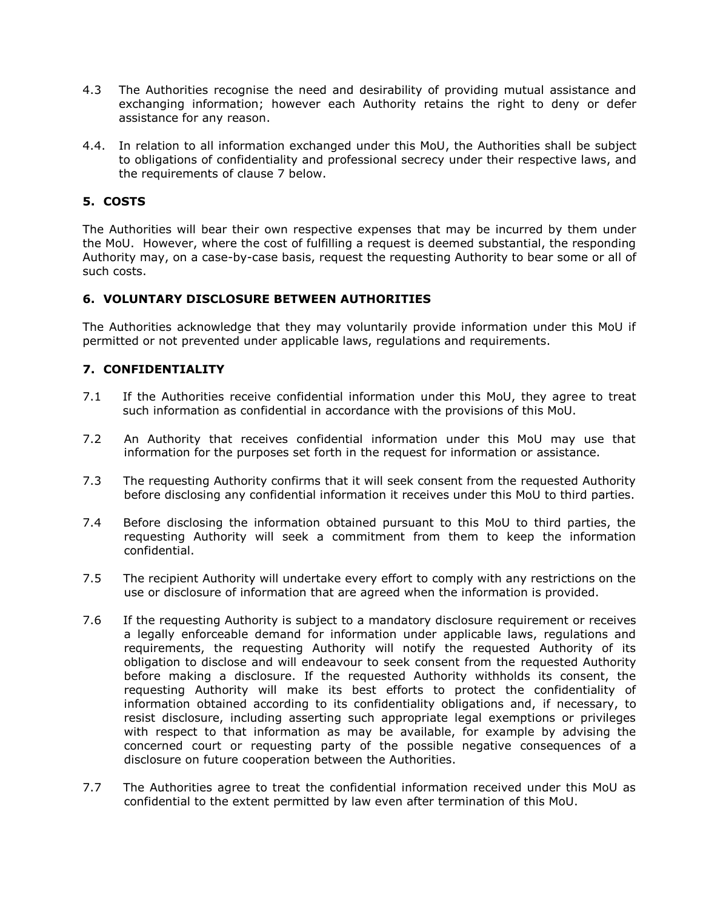- 4.3 The Authorities recognise the need and desirability of providing mutual assistance and exchanging information; however each Authority retains the right to deny or defer assistance for any reason.
- 4.4. In relation to all information exchanged under this MoU, the Authorities shall be subject to obligations of confidentiality and professional secrecy under their respective laws, and the requirements of clause 7 below.

# **5. COSTS**

The Authorities will bear their own respective expenses that may be incurred by them under the MoU. However, where the cost of fulfilling a request is deemed substantial, the responding Authority may, on a case-by-case basis, request the requesting Authority to bear some or all of such costs.

## **6. VOLUNTARY DISCLOSURE BETWEEN AUTHORITIES**

The Authorities acknowledge that they may voluntarily provide information under this MoU if permitted or not prevented under applicable laws, regulations and requirements.

# **7. CONFIDENTIALITY**

- 7.1 If the Authorities receive confidential information under this MoU, they agree to treat such information as confidential in accordance with the provisions of this MoU.
- 7.2 An Authority that receives confidential information under this MoU may use that information for the purposes set forth in the request for information or assistance.
- 7.3 The requesting Authority confirms that it will seek consent from the requested Authority before disclosing any confidential information it receives under this MoU to third parties.
- 7.4 Before disclosing the information obtained pursuant to this MoU to third parties, the requesting Authority will seek a commitment from them to keep the information confidential.
- 7.5 The recipient Authority will undertake every effort to comply with any restrictions on the use or disclosure of information that are agreed when the information is provided.
- 7.6 If the requesting Authority is subject to a mandatory disclosure requirement or receives a legally enforceable demand for information under applicable laws, regulations and requirements, the requesting Authority will notify the requested Authority of its obligation to disclose and will endeavour to seek consent from the requested Authority before making a disclosure. If the requested Authority withholds its consent, the requesting Authority will make its best efforts to protect the confidentiality of information obtained according to its confidentiality obligations and, if necessary, to resist disclosure, including asserting such appropriate legal exemptions or privileges with respect to that information as may be available, for example by advising the concerned court or requesting party of the possible negative consequences of a disclosure on future cooperation between the Authorities.
- 7.7 The Authorities agree to treat the confidential information received under this MoU as confidential to the extent permitted by law even after termination of this MoU.